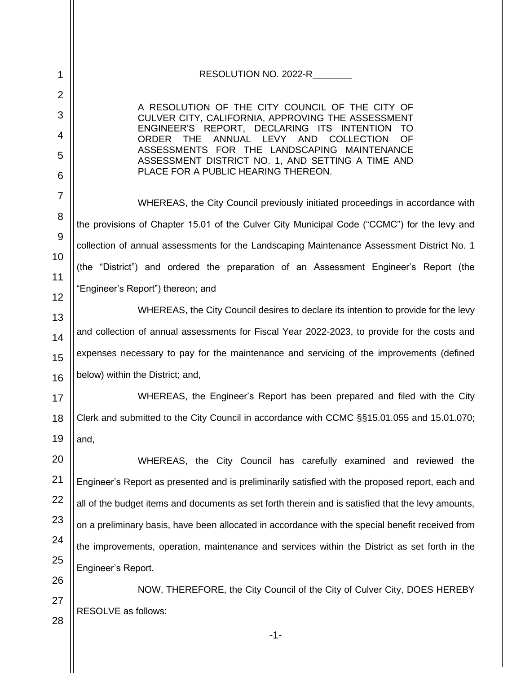-1- 1 2 3 4 5 6 7 8 9 10 11 12 13 14 15 16 17 18 19 20 21 22 23 24 25 26 27 28 RESOLUTION NO. 2022-R A RESOLUTION OF THE CITY COUNCIL OF THE CITY OF CULVER CITY, CALIFORNIA, APPROVING THE ASSESSMENT ENGINEER'S REPORT, DECLARING ITS INTENTION TO ORDER THE ANNUAL LEVY AND COLLECTION OF ASSESSMENTS FOR THE LANDSCAPING MAINTENANCE ASSESSMENT DISTRICT NO. 1, AND SETTING A TIME AND PLACE FOR A PUBLIC HEARING THEREON. WHEREAS, the City Council previously initiated proceedings in accordance with the provisions of Chapter 15.01 of the Culver City Municipal Code ("CCMC") for the levy and collection of annual assessments for the Landscaping Maintenance Assessment District No. 1 (the "District") and ordered the preparation of an Assessment Engineer's Report (the "Engineer's Report") thereon; and WHEREAS, the City Council desires to declare its intention to provide for the levy and collection of annual assessments for Fiscal Year 2022-2023, to provide for the costs and expenses necessary to pay for the maintenance and servicing of the improvements (defined below) within the District; and, WHEREAS, the Engineer's Report has been prepared and filed with the City Clerk and submitted to the City Council in accordance with CCMC §§15.01.055 and 15.01.070; and, WHEREAS, the City Council has carefully examined and reviewed the Engineer's Report as presented and is preliminarily satisfied with the proposed report, each and all of the budget items and documents as set forth therein and is satisfied that the levy amounts, on a preliminary basis, have been allocated in accordance with the special benefit received from the improvements, operation, maintenance and services within the District as set forth in the Engineer's Report. NOW, THEREFORE, the City Council of the City of Culver City, DOES HEREBY RESOLVE as follows: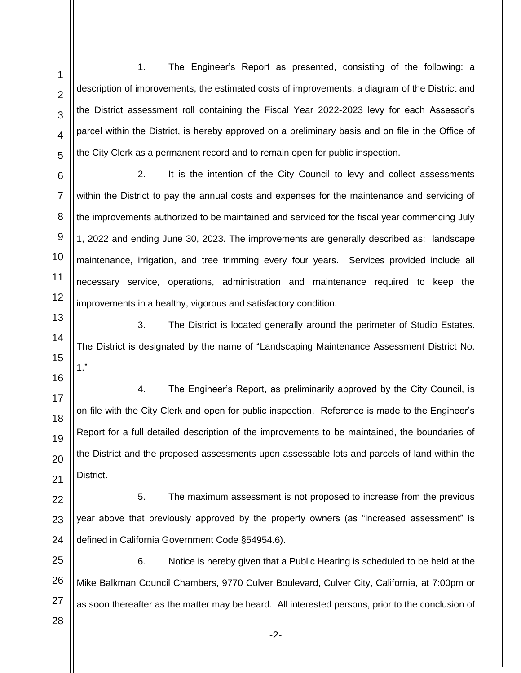-2- 1 2 3 4 5 6 7 8 9 10 11 12 13 14 15 16 17 18 19 20 21 22 23 24 25 26 27 28 1. The Engineer's Report as presented, consisting of the following: a description of improvements, the estimated costs of improvements, a diagram of the District and the District assessment roll containing the Fiscal Year 2022-2023 levy for each Assessor's parcel within the District, is hereby approved on a preliminary basis and on file in the Office of the City Clerk as a permanent record and to remain open for public inspection. 2. It is the intention of the City Council to levy and collect assessments within the District to pay the annual costs and expenses for the maintenance and servicing of the improvements authorized to be maintained and serviced for the fiscal year commencing July 1, 2022 and ending June 30, 2023. The improvements are generally described as: landscape maintenance, irrigation, and tree trimming every four years. Services provided include all necessary service, operations, administration and maintenance required to keep the improvements in a healthy, vigorous and satisfactory condition. 3. The District is located generally around the perimeter of Studio Estates. The District is designated by the name of "Landscaping Maintenance Assessment District No. 1." 4. The Engineer's Report, as preliminarily approved by the City Council, is on file with the City Clerk and open for public inspection. Reference is made to the Engineer's Report for a full detailed description of the improvements to be maintained, the boundaries of the District and the proposed assessments upon assessable lots and parcels of land within the District. 5. The maximum assessment is not proposed to increase from the previous year above that previously approved by the property owners (as "increased assessment" is defined in California Government Code §54954.6). 6. Notice is hereby given that a Public Hearing is scheduled to be held at the Mike Balkman Council Chambers, 9770 Culver Boulevard, Culver City, California, at 7:00pm or as soon thereafter as the matter may be heard. All interested persons, prior to the conclusion of